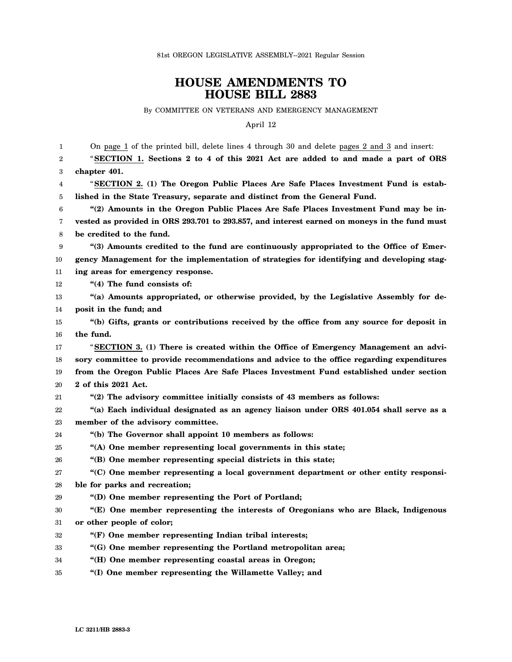## **HOUSE AMENDMENTS TO HOUSE BILL 2883**

By COMMITTEE ON VETERANS AND EMERGENCY MANAGEMENT

April 12

| 1  | On page 1 of the printed bill, delete lines 4 through 30 and delete pages 2 and 3 and insert: |
|----|-----------------------------------------------------------------------------------------------|
| 2  | "SECTION 1. Sections 2 to 4 of this 2021 Act are added to and made a part of ORS              |
| 3  | chapter 401.                                                                                  |
| 4  | "SECTION 2. (1) The Oregon Public Places Are Safe Places Investment Fund is estab-            |
| 5  | lished in the State Treasury, separate and distinct from the General Fund.                    |
| 6  | "(2) Amounts in the Oregon Public Places Are Safe Places Investment Fund may be in-           |
| 7  | vested as provided in ORS 293.701 to 293.857, and interest earned on moneys in the fund must  |
| 8  | be credited to the fund.                                                                      |
| 9  | "(3) Amounts credited to the fund are continuously appropriated to the Office of Emer-        |
| 10 | gency Management for the implementation of strategies for identifying and developing stag-    |
| 11 | ing areas for emergency response.                                                             |
| 12 | "(4) The fund consists of:                                                                    |
| 13 | "(a) Amounts appropriated, or otherwise provided, by the Legislative Assembly for de-         |
| 14 | posit in the fund; and                                                                        |
| 15 | "(b) Gifts, grants or contributions received by the office from any source for deposit in     |
| 16 | the fund.                                                                                     |
| 17 | "SECTION 3. (1) There is created within the Office of Emergency Management an advi-           |
| 18 | sory committee to provide recommendations and advice to the office regarding expenditures     |
| 19 | from the Oregon Public Places Are Safe Places Investment Fund established under section       |
| 20 | 2 of this 2021 Act.                                                                           |
| 21 | "(2) The advisory committee initially consists of 43 members as follows:                      |
| 22 | "(a) Each individual designated as an agency liaison under ORS 401.054 shall serve as a       |
| 23 | member of the advisory committee.                                                             |
| 24 | "(b) The Governor shall appoint 10 members as follows:                                        |
| 25 | "(A) One member representing local governments in this state;                                 |
| 26 | "(B) One member representing special districts in this state;                                 |
| 27 | "(C) One member representing a local government department or other entity responsi-          |
| 28 | ble for parks and recreation;                                                                 |
| 29 | "(D) One member representing the Port of Portland;                                            |
| 30 | "(E) One member representing the interests of Oregonians who are Black, Indigenous            |
| 31 | or other people of color;                                                                     |
| 32 | "(F) One member representing Indian tribal interests;                                         |
| 33 | "(G) One member representing the Portland metropolitan area;                                  |
| 34 | "(H) One member representing coastal areas in Oregon;                                         |
| 35 | "(I) One member representing the Willamette Valley; and                                       |